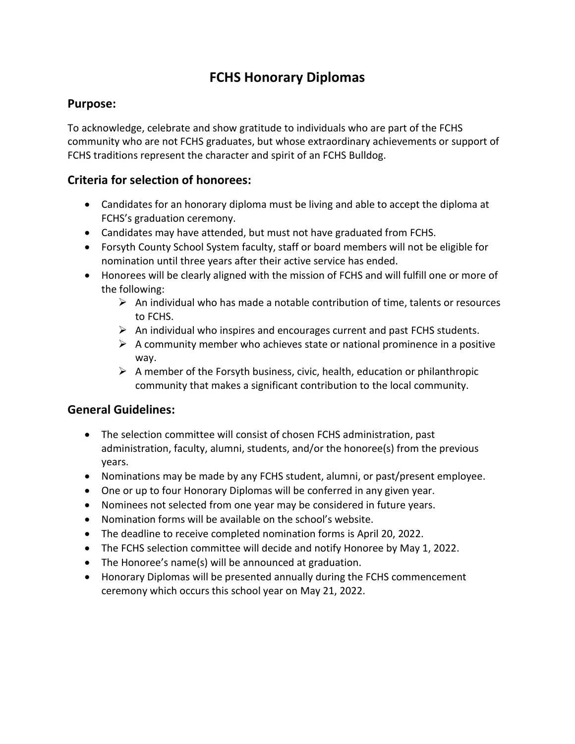### **FCHS Honorary Diplomas**

#### **Purpose:**

To acknowledge, celebrate and show gratitude to individuals who are part of the FCHS community who are not FCHS graduates, but whose extraordinary achievements or support of FCHS traditions represent the character and spirit of an FCHS Bulldog.

#### **Criteria for selection of honorees:**

- Candidates for an honorary diploma must be living and able to accept the diploma at FCHS's graduation ceremony.
- Candidates may have attended, but must not have graduated from FCHS.
- Forsyth County School System faculty, staff or board members will not be eligible for nomination until three years after their active service has ended.
- Honorees will be clearly aligned with the mission of FCHS and will fulfill one or more of the following:
	- $\triangleright$  An individual who has made a notable contribution of time, talents or resources to FCHS.
	- $\triangleright$  An individual who inspires and encourages current and past FCHS students.
	- $\triangleright$  A community member who achieves state or national prominence in a positive way.
	- $\triangleright$  A member of the Forsyth business, civic, health, education or philanthropic community that makes a significant contribution to the local community.

#### **General Guidelines:**

- The selection committee will consist of chosen FCHS administration, past administration, faculty, alumni, students, and/or the honoree(s) from the previous years.
- Nominations may be made by any FCHS student, alumni, or past/present employee.
- One or up to four Honorary Diplomas will be conferred in any given year.
- Nominees not selected from one year may be considered in future years.
- Nomination forms will be available on the school's website.
- The deadline to receive completed nomination forms is April 20, 2022.
- The FCHS selection committee will decide and notify Honoree by May 1, 2022.
- The Honoree's name(s) will be announced at graduation.
- Honorary Diplomas will be presented annually during the FCHS commencement ceremony which occurs this school year on May 21, 2022.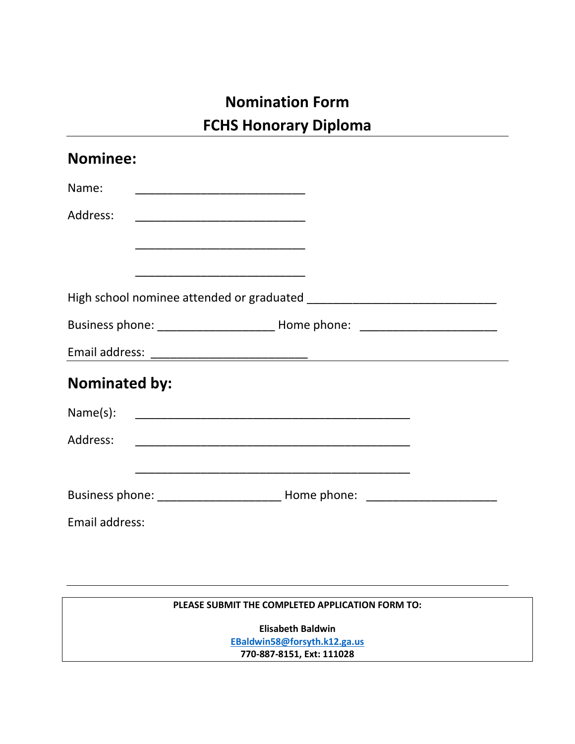# **Nomination Form FCHS Honorary Diploma**

| <b>Nominee:</b>      |                                                                                                                      |  |
|----------------------|----------------------------------------------------------------------------------------------------------------------|--|
| Name:                |                                                                                                                      |  |
| Address:             | <u> 1980 - Johann John Harry, mars eta bat eta bat eta bat eta bat ez arte eta bat ez arte eta bat ez arte eta b</u> |  |
|                      | <u> 1980 - Johann John Harry, mars eta bat eta bat eta bat eta bat eta bat eta bat eta bat eta bat eta bat eta b</u> |  |
|                      | <u> 1980 - Johann John Harry, mars eta bat eta bat eta bat eta bat eta bat eta bat eta bat eta bat eta bat eta b</u> |  |
|                      |                                                                                                                      |  |
|                      |                                                                                                                      |  |
|                      |                                                                                                                      |  |
| <b>Nominated by:</b> |                                                                                                                      |  |
|                      |                                                                                                                      |  |
|                      |                                                                                                                      |  |
|                      |                                                                                                                      |  |
|                      |                                                                                                                      |  |
| Email address:       |                                                                                                                      |  |

#### **PLEASE SUBMIT THE COMPLETED APPLICATION FORM TO:**

**Elisabeth Baldwin**

**[EBaldwin58@forsyth.k12.ga.us](mailto:EBaldwin58@forsyth.k12.ga.us) 770-887-8151, Ext: 111028**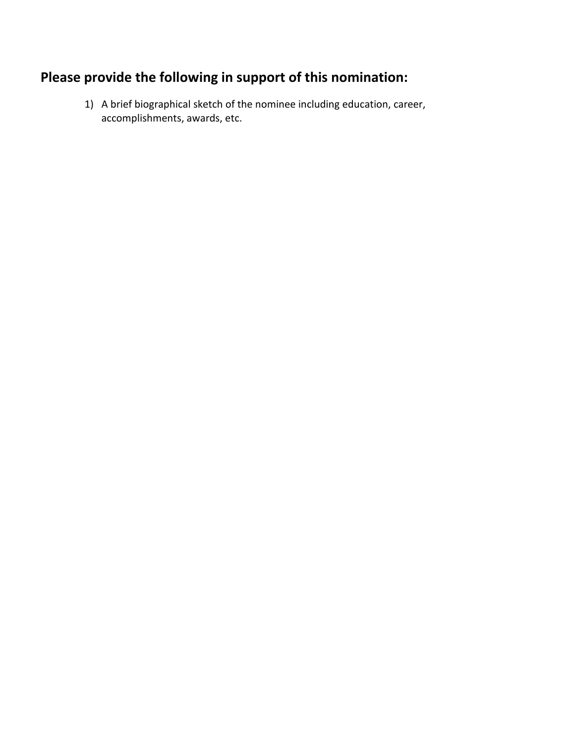## **Please provide the following in support of this nomination:**

1) A brief biographical sketch of the nominee including education, career, accomplishments, awards, etc.